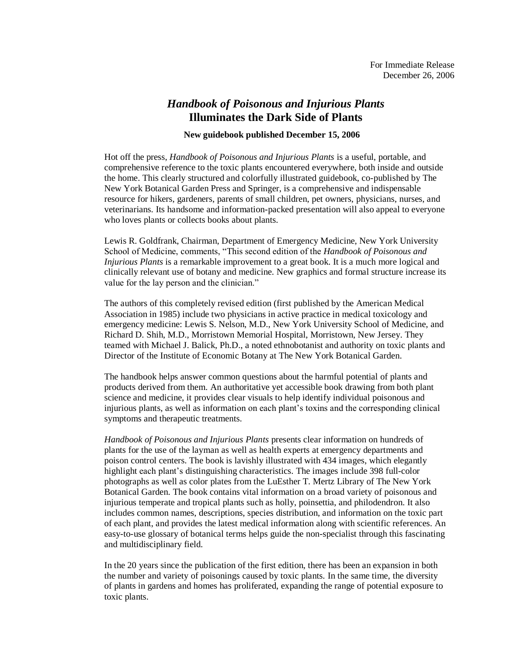## *Handbook of Poisonous and Injurious Plants* **Illuminates the Dark Side of Plants**

## **New guidebook published December 15, 2006**

Hot off the press, *Handbook of Poisonous and Injurious Plants* is a useful, portable, and comprehensive reference to the toxic plants encountered everywhere, both inside and outside the home. This clearly structured and colorfully illustrated guidebook, co-published by The New York Botanical Garden Press and Springer, is a comprehensive and indispensable resource for hikers, gardeners, parents of small children, pet owners, physicians, nurses, and veterinarians. Its handsome and information-packed presentation will also appeal to everyone who loves plants or collects books about plants.

Lewis R. Goldfrank, Chairman, Department of Emergency Medicine, New York University School of Medicine, comments, "This second edition of the *Handbook of Poisonous and Injurious Plants* is a remarkable improvement to a great book. It is a much more logical and clinically relevant use of botany and medicine. New graphics and formal structure increase its value for the lay person and the clinician."

The authors of this completely revised edition (first published by the American Medical Association in 1985) include two physicians in active practice in medical toxicology and emergency medicine: Lewis S. Nelson, M.D., New York University School of Medicine, and Richard D. Shih, M.D., Morristown Memorial Hospital, Morristown, New Jersey. They teamed with Michael J. Balick, Ph.D., a noted ethnobotanist and authority on toxic plants and Director of the Institute of Economic Botany at The New York Botanical Garden.

The handbook helps answer common questions about the harmful potential of plants and products derived from them. An authoritative yet accessible book drawing from both plant science and medicine, it provides clear visuals to help identify individual poisonous and injurious plants, as well as information on each plant's toxins and the corresponding clinical symptoms and therapeutic treatments.

*Handbook of Poisonous and Injurious Plants* presents clear information on hundreds of plants for the use of the layman as well as health experts at emergency departments and poison control centers. The book is lavishly illustrated with 434 images, which elegantly highlight each plant's distinguishing characteristics. The images include 398 full-color photographs as well as color plates from the LuEsther T. Mertz Library of The New York Botanical Garden. The book contains vital information on a broad variety of poisonous and injurious temperate and tropical plants such as holly, poinsettia, and philodendron. It also includes common names, descriptions, species distribution, and information on the toxic part of each plant, and provides the latest medical information along with scientific references. An easy-to-use glossary of botanical terms helps guide the non-specialist through this fascinating and multidisciplinary field.

In the 20 years since the publication of the first edition, there has been an expansion in both the number and variety of poisonings caused by toxic plants. In the same time, the diversity of plants in gardens and homes has proliferated, expanding the range of potential exposure to toxic plants.